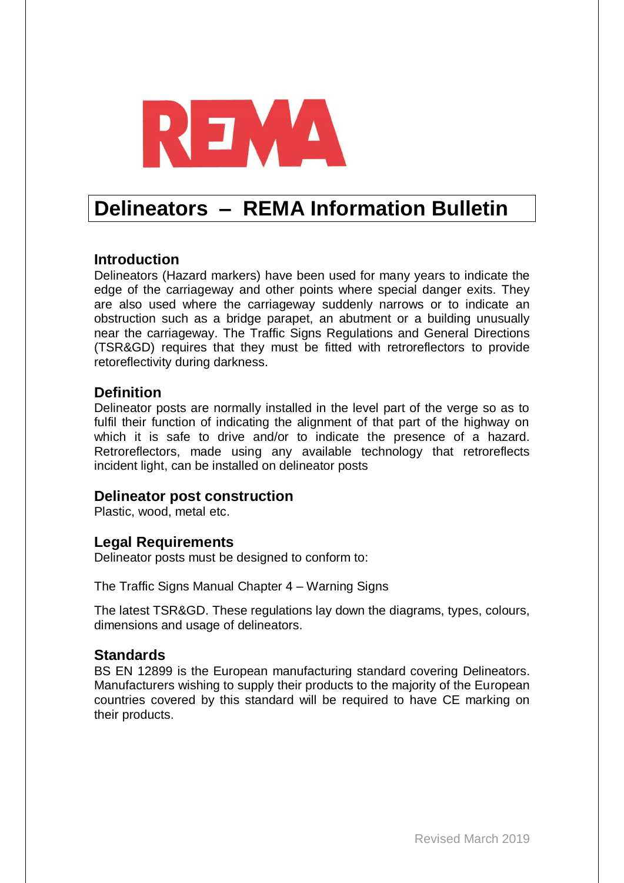

# **Delineators – REMA Information Bulletin**

# **Introduction**

Delineators (Hazard markers) have been used for many years to indicate the edge of the carriageway and other points where special danger exits. They are also used where the carriageway suddenly narrows or to indicate an obstruction such as a bridge parapet, an abutment or a building unusually near the carriageway. The Traffic Signs Regulations and General Directions (TSR&GD) requires that they must be fitted with retroreflectors to provide retoreflectivity during darkness.

# **Definition**

Delineator posts are normally installed in the level part of the verge so as to fulfil their function of indicating the alignment of that part of the highway on which it is safe to drive and/or to indicate the presence of a hazard. Retroreflectors, made using any available technology that retroreflects incident light, can be installed on delineator posts

#### **Delineator post construction**

Plastic, wood, metal etc.

# **Legal Requirements**

Delineator posts must be designed to conform to:

The Traffic Signs Manual Chapter 4 – Warning Signs

The latest TSR&GD. These regulations lay down the diagrams, types, colours, dimensions and usage of delineators.

#### **Standards**

BS EN 12899 is the European manufacturing standard covering Delineators. Manufacturers wishing to supply their products to the majority of the European countries covered by this standard will be required to have CE marking on their products.